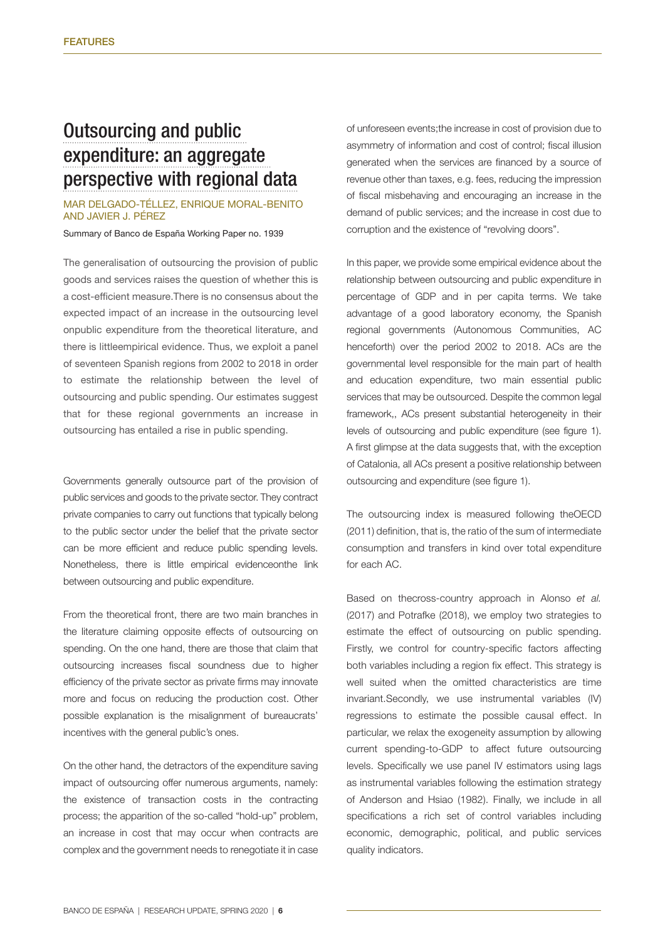# [Outsourcing and public](https://www.bde.es/f/webbde/SES/Secciones/Publicaciones/PublicacionesSeriadas/DocumentosTrabajo/19/Fich/dt1939e.pdf)  [expenditure: an aggregate](https://www.bde.es/f/webbde/SES/Secciones/Publicaciones/PublicacionesSeriadas/DocumentosTrabajo/19/Fich/dt1939e.pdf)  [perspective with regional data](https://www.bde.es/f/webbde/SES/Secciones/Publicaciones/PublicacionesSeriadas/DocumentosTrabajo/19/Fich/dt1939e.pdf)

## Mar Delgado-Téllez, Enrique Moral-Benito and Javier J. Pérez

### Summary of Banco de España Working Paper no. 1939

The generalisation of outsourcing the provision of public goods and services raises the question of whether this is a cost-efficient measure.There is no consensus about the expected impact of an increase in the outsourcing level onpublic expenditure from the theoretical literature, and there is littleempirical evidence. Thus, we exploit a panel of seventeen Spanish regions from 2002 to 2018 in order to estimate the relationship between the level of outsourcing and public spending. Our estimates suggest that for these regional governments an increase in outsourcing has entailed a rise in public spending.

Governments generally outsource part of the provision of public services and goods to the private sector. They contract private companies to carry out functions that typically belong to the public sector under the belief that the private sector can be more efficient and reduce public spending levels. Nonetheless, there is little empirical evidenceonthe link between outsourcing and public expenditure.

From the theoretical front, there are two main branches in the literature claiming opposite effects of outsourcing on spending. On the one hand, there are those that claim that outsourcing increases fiscal soundness due to higher efficiency of the private sector as private firms may innovate more and focus on reducing the production cost. Other possible explanation is the misalignment of bureaucrats' incentives with the general public's ones.

On the other hand, the detractors of the expenditure saving impact of outsourcing offer numerous arguments, namely: the existence of transaction costs in the contracting process; the apparition of the so-called "hold-up" problem, an increase in cost that may occur when contracts are complex and the government needs to renegotiate it in case of unforeseen events;the increase in cost of provision due to asymmetry of information and cost of control; fiscal illusion generated when the services are financed by a source of revenue other than taxes, e.g. fees, reducing the impression of fiscal misbehaving and encouraging an increase in the demand of public services; and the increase in cost due to corruption and the existence of "revolving doors".

In this paper, we provide some empirical evidence about the relationship between outsourcing and public expenditure in percentage of GDP and in per capita terms. We take advantage of a good laboratory economy, the Spanish regional governments (Autonomous Communities, AC henceforth) over the period 2002 to 2018. ACs are the governmental level responsible for the main part of health and education expenditure, two main essential public services that may be outsourced. Despite the common legal framework,, ACs present substantial heterogeneity in their levels of outsourcing and public expenditure (see figure 1). A first glimpse at the data suggests that, with the exception of Catalonia, all ACs present a positive relationship between outsourcing and expenditure (see figure 1).

The outsourcing index is measured following theOECD (2011) definition, that is, the ratio of the sum of intermediate consumption and transfers in kind over total expenditure for each AC.

Based on thecross-country approach in Alonso *et al.* (2017) and Potrafke (2018), we employ two strategies to estimate the effect of outsourcing on public spending. Firstly, we control for country-specific factors affecting both variables including a region fix effect. This strategy is well suited when the omitted characteristics are time invariant.Secondly, we use instrumental variables (IV) regressions to estimate the possible causal effect. In particular, we relax the exogeneity assumption by allowing current spending-to-GDP to affect future outsourcing levels. Specifically we use panel IV estimators using lags as instrumental variables following the estimation strategy of Anderson and Hsiao (1982). Finally, we include in all specifications a rich set of control variables including economic, demographic, political, and public services quality indicators.